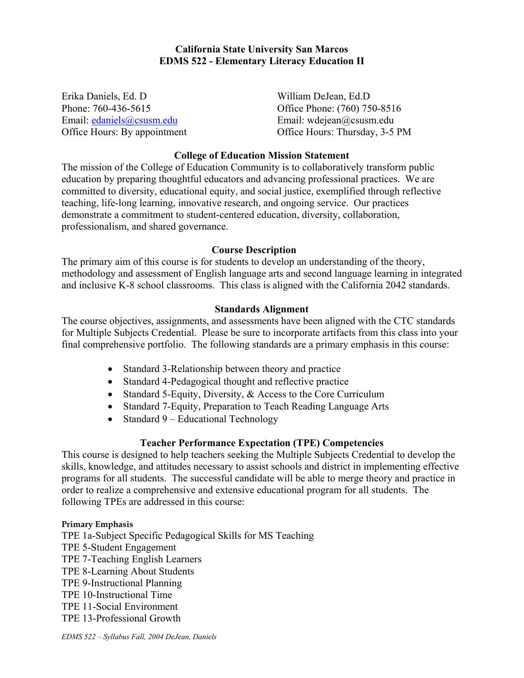# **California State University San Marcos EDMS 522 - Elementary Literacy Education II**

Erika Daniels, Ed. D William DeJean, Ed.D Email: edaniels@csusm.edu Email: wdejean@csusm.edu

Phone: 760-436-5615 Office Phone: (760) 750-8516 Office Hours: By appointment Office Hours: Thursday, 3-5 PM

# **College of Education Mission Statement**

The mission of the College of Education Community is to collaboratively transform public education by preparing thoughtful educators and advancing professional practices. We are committed to diversity, educational equity, and social justice, exemplified through reflective teaching, life-long learning, innovative research, and ongoing service. Our practices demonstrate a commitment to student-centered education, diversity, collaboration, professionalism, and shared governance.

#### **Course Description**

The primary aim of this course is for students to develop an understanding of the theory, methodology and assessment of English language arts and second language learning in integrated and inclusive K-8 school classrooms. This class is aligned with the California 2042 standards.

## **Standards Alignment**

The course objectives, assignments, and assessments have been aligned with the CTC standards for Multiple Subjects Credential. Please be sure to incorporate artifacts from this class into your final comprehensive portfolio. The following standards are a primary emphasis in this course:

- Standard 3-Relationship between theory and practice
- Standard 4-Pedagogical thought and reflective practice
- Standard 5-Equity, Diversity, & Access to the Core Curriculum
- Standard 7-Equity, Preparation to Teach Reading Language Arts
- Standard 9 Educational Technology

# **Teacher Performance Expectation (TPE) Competencies**

This course is designed to help teachers seeking the Multiple Subjects Credential to develop the skills, knowledge, and attitudes necessary to assist schools and district in implementing effective programs for all students. The successful candidate will be able to merge theory and practice in order to realize a comprehensive and extensive educational program for all students. The following TPEs are addressed in this course:

## **Primary Emphasis**

TPE 1a-Subject Specific Pedagogical Skills for MS Teaching TPE 5-Student Engagement TPE 7-Teaching English Learners TPE 8-Learning About Students TPE 9-Instructional Planning TPE 10-Instructional Time TPE 11-Social Environment TPE 13-Professional Growth

*EDMS 522 – Syllabus Fall, 2004 DeJean, Daniels*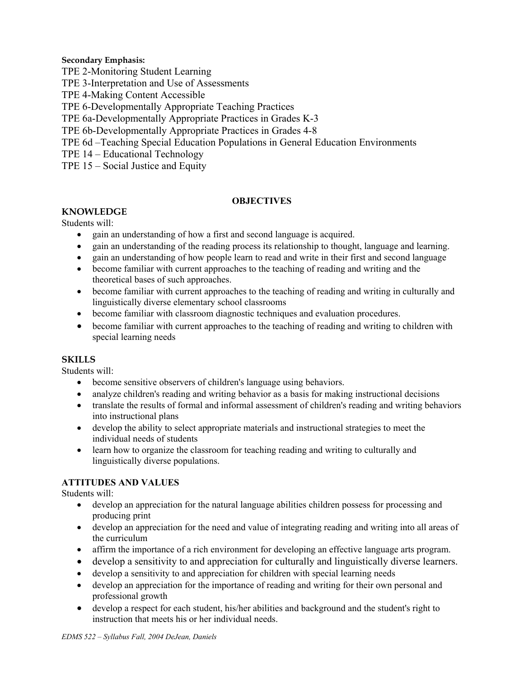## **Secondary Emphasis:**

- TPE 2-Monitoring Student Learning
- TPE 3-Interpretation and Use of Assessments
- TPE 4-Making Content Accessible
- TPE 6-Developmentally Appropriate Teaching Practices
- TPE 6a-Developmentally Appropriate Practices in Grades K-3
- TPE 6b-Developmentally Appropriate Practices in Grades 4-8
- TPE 6d –Teaching Special Education Populations in General Education Environments
- TPE 14 Educational Technology
- TPE 15 Social Justice and Equity

## **OBJECTIVES**

# **KNOWLEDGE**

#### Students will:

- gain an understanding of how a first and second language is acquired.
- gain an understanding of the reading process its relationship to thought, language and learning.
- gain an understanding of how people learn to read and write in their first and second language
- become familiar with current approaches to the teaching of reading and writing and the theoretical bases of such approaches.
- become familiar with current approaches to the teaching of reading and writing in culturally and linguistically diverse elementary school classrooms
- become familiar with classroom diagnostic techniques and evaluation procedures.
- become familiar with current approaches to the teaching of reading and writing to children with special learning needs

## **SKILLS**

Students will:

- become sensitive observers of children's language using behaviors.
- analyze children's reading and writing behavior as a basis for making instructional decisions
- translate the results of formal and informal assessment of children's reading and writing behaviors into instructional plans
- develop the ability to select appropriate materials and instructional strategies to meet the individual needs of students
- learn how to organize the classroom for teaching reading and writing to culturally and linguistically diverse populations.

## **ATTITUDES AND VALUES**

Students will:

- develop an appreciation for the natural language abilities children possess for processing and producing print
- develop an appreciation for the need and value of integrating reading and writing into all areas of the curriculum
- affirm the importance of a rich environment for developing an effective language arts program.
- develop a sensitivity to and appreciation for culturally and linguistically diverse learners.
- develop a sensitivity to and appreciation for children with special learning needs
- develop an appreciation for the importance of reading and writing for their own personal and professional growth
- develop a respect for each student, his/her abilities and background and the student's right to instruction that meets his or her individual needs.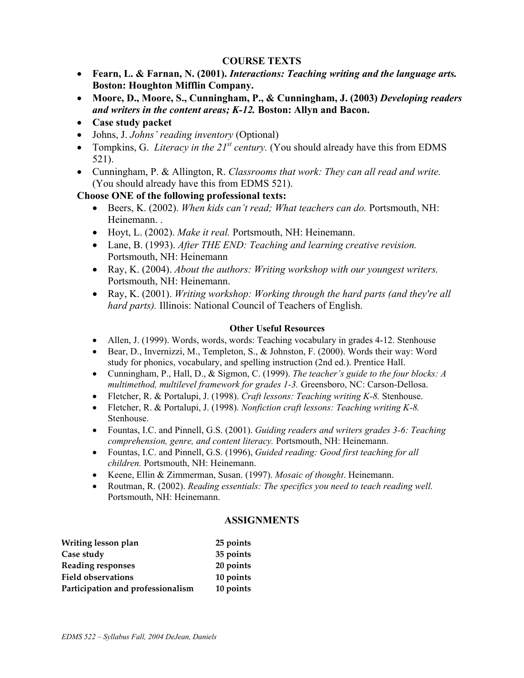# **COURSE TEXTS**

- **Fearn, L. & Farnan, N. (2001).** *Interactions: Teaching writing and the language arts.* **Boston: Houghton Mifflin Company.**
- **Moore, D., Moore, S., Cunningham, P., & Cunningham, J. (2003)** *Developing readers and writers in the content areas; K-12.* **Boston: Allyn and Bacon.**
- **Case study packet**
- Johns, J. *Johns' reading inventory* (Optional)
- Tompkins, G. *Literacy in the 21<sup>st</sup> century*. (You should already have this from EDMS 521).
- Cunningham, P. & Allington, R. *Classrooms that work: They can all read and write.*  (You should already have this from EDMS 521).

# **Choose ONE of the following professional texts:**

- Beers, K. (2002). *When kids can't read; What teachers can do.* Portsmouth, NH: Heinemann. .
- Hoyt, L. (2002). *Make it real.* Portsmouth, NH: Heinemann.
- Lane, B. (1993). *After THE END: Teaching and learning creative revision.*  Portsmouth, NH: Heinemann
- Ray, K. (2004). *About the authors: Writing workshop with our youngest writers.*  Portsmouth, NH: Heinemann.
- Ray, K. (2001). *Writing workshop: Working through the hard parts (and they're all hard parts).* Illinois: National Council of Teachers of English.

# **Other Useful Resources**

- Allen, J. (1999). Words, words, words: Teaching vocabulary in grades 4-12. Stenhouse
- Bear, D., Invernizzi, M., Templeton, S., & Johnston, F. (2000). Words their way: Word study for phonics, vocabulary, and spelling instruction (2nd ed.). Prentice Hall.
- Cunningham, P., Hall, D., & Sigmon, C. (1999). *The teacher's guide to the four blocks: A multimethod, multilevel framework for grades 1-3.* Greensboro, NC: Carson-Dellosa.
- Fletcher, R. & Portalupi, J. (1998). *Craft lessons: Teaching writing K-8.* Stenhouse.
- Fletcher, R. & Portalupi, J. (1998). *Nonfiction craft lessons: Teaching writing K-8.*  Stenhouse.
- Fountas, I.C. and Pinnell, G.S. (2001). *Guiding readers and writers grades 3-6: Teaching comprehension, genre, and content literacy.* Portsmouth, NH: Heinemann.
- Fountas, I.C. and Pinnell, G.S. (1996), *Guided reading: Good first teaching for all children.* Portsmouth, NH: Heinemann.
- Keene, Ellin & Zimmerman, Susan. (1997). *Mosaic of thought*. Heinemann.
- Routman, R. (2002). *Reading essentials: The specifics you need to teach reading well.*  Portsmouth, NH: Heinemann.

## **ASSIGNMENTS**

| Writing lesson plan               | 25 points |
|-----------------------------------|-----------|
| Case study                        | 35 points |
| <b>Reading responses</b>          | 20 points |
| <b>Field observations</b>         | 10 points |
| Participation and professionalism | 10 points |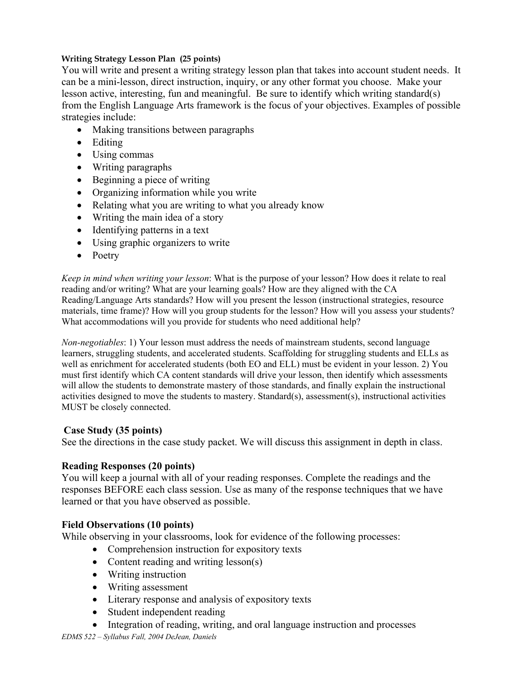# **Writing Strategy Lesson Plan (25 points)**

You will write and present a writing strategy lesson plan that takes into account student needs. It can be a mini-lesson, direct instruction, inquiry, or any other format you choose. Make your lesson active, interesting, fun and meaningful. Be sure to identify which writing standard(s) from the English Language Arts framework is the focus of your objectives. Examples of possible strategies include:

- Making transitions between paragraphs
- Editing
- Using commas
- Writing paragraphs
- Beginning a piece of writing
- Organizing information while you write
- Relating what you are writing to what you already know
- Writing the main idea of a story
- Identifying patterns in a text
- Using graphic organizers to write
- Poetry

*Keep in mind when writing your lesson*: What is the purpose of your lesson? How does it relate to real reading and/or writing? What are your learning goals? How are they aligned with the CA Reading/Language Arts standards? How will you present the lesson (instructional strategies, resource materials, time frame)? How will you group students for the lesson? How will you assess your students? What accommodations will you provide for students who need additional help?

*Non-negotiables*: 1) Your lesson must address the needs of mainstream students, second language learners, struggling students, and accelerated students. Scaffolding for struggling students and ELLs as well as enrichment for accelerated students (both EO and ELL) must be evident in your lesson. 2) You must first identify which CA content standards will drive your lesson, then identify which assessments will allow the students to demonstrate mastery of those standards, and finally explain the instructional activities designed to move the students to mastery. Standard(s), assessment(s), instructional activities MUST be closely connected.

# **Case Study (35 points)**

See the directions in the case study packet. We will discuss this assignment in depth in class.

# **Reading Responses (20 points)**

You will keep a journal with all of your reading responses. Complete the readings and the responses BEFORE each class session. Use as many of the response techniques that we have learned or that you have observed as possible.

# **Field Observations (10 points)**

While observing in your classrooms, look for evidence of the following processes:

- Comprehension instruction for expository texts
- Content reading and writing lesson(s)
- Writing instruction
- Writing assessment
- Literary response and analysis of expository texts
- Student independent reading
- Integration of reading, writing, and oral language instruction and processes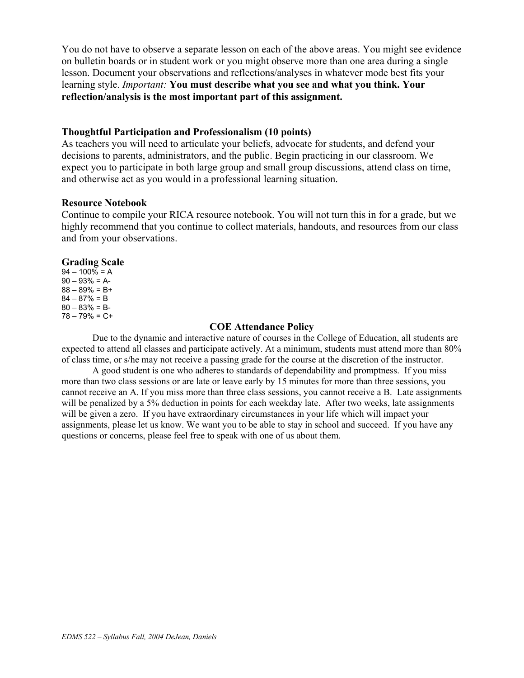You do not have to observe a separate lesson on each of the above areas. You might see evidence on bulletin boards or in student work or you might observe more than one area during a single lesson. Document your observations and reflections/analyses in whatever mode best fits your learning style. *Important:* **You must describe what you see and what you think. Your reflection/analysis is the most important part of this assignment.** 

## **Thoughtful Participation and Professionalism (10 points)**

As teachers you will need to articulate your beliefs, advocate for students, and defend your decisions to parents, administrators, and the public. Begin practicing in our classroom. We expect you to participate in both large group and small group discussions, attend class on time, and otherwise act as you would in a professional learning situation.

## **Resource Notebook**

Continue to compile your RICA resource notebook. You will not turn this in for a grade, but we highly recommend that you continue to collect materials, handouts, and resources from our class and from your observations.

## **Grading Scale**

 $94 - 100\% = A$  $90 - 93\% = A$ - $88 - 89\% = B +$  $84 - 87\% = B$  $80 - 83\% = B$ 78 – 79% = C+

#### **COE Attendance Policy**

Due to the dynamic and interactive nature of courses in the College of Education, all students are expected to attend all classes and participate actively. At a minimum, students must attend more than 80% of class time, or s/he may not receive a passing grade for the course at the discretion of the instructor.

A good student is one who adheres to standards of dependability and promptness. If you miss more than two class sessions or are late or leave early by 15 minutes for more than three sessions, you cannot receive an A. If you miss more than three class sessions, you cannot receive a B. Late assignments will be penalized by a 5% deduction in points for each weekday late. After two weeks, late assignments will be given a zero. If you have extraordinary circumstances in your life which will impact your assignments, please let us know. We want you to be able to stay in school and succeed. If you have any questions or concerns, please feel free to speak with one of us about them.